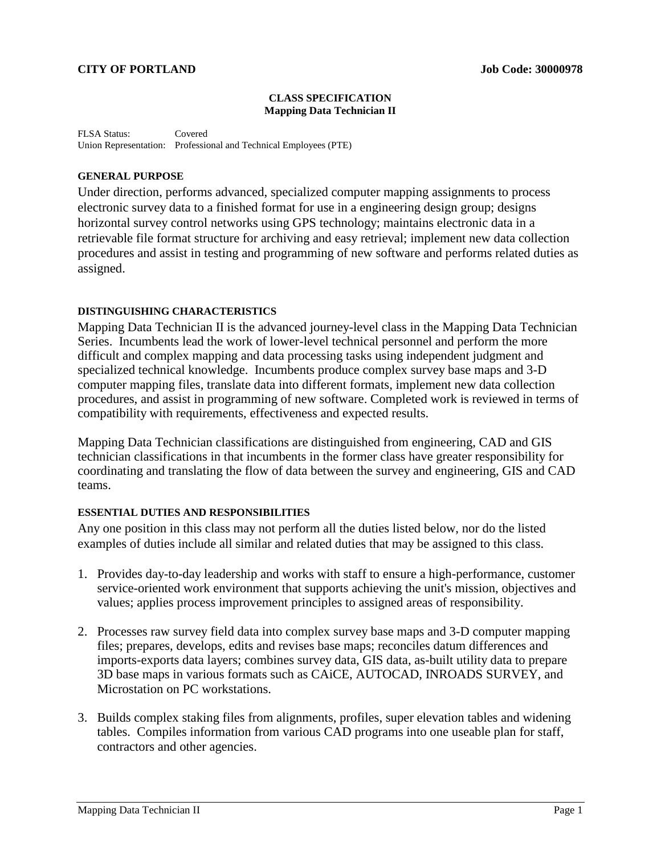#### **CLASS SPECIFICATION Mapping Data Technician II**

FLSA Status: Covered Union Representation: Professional and Technical Employees (PTE)

### **GENERAL PURPOSE**

Under direction, performs advanced, specialized computer mapping assignments to process electronic survey data to a finished format for use in a engineering design group; designs horizontal survey control networks using GPS technology; maintains electronic data in a retrievable file format structure for archiving and easy retrieval; implement new data collection procedures and assist in testing and programming of new software and performs related duties as assigned.

### **DISTINGUISHING CHARACTERISTICS**

Mapping Data Technician II is the advanced journey-level class in the Mapping Data Technician Series. Incumbents lead the work of lower-level technical personnel and perform the more difficult and complex mapping and data processing tasks using independent judgment and specialized technical knowledge. Incumbents produce complex survey base maps and 3-D computer mapping files, translate data into different formats, implement new data collection procedures, and assist in programming of new software. Completed work is reviewed in terms of compatibility with requirements, effectiveness and expected results.

Mapping Data Technician classifications are distinguished from engineering, CAD and GIS technician classifications in that incumbents in the former class have greater responsibility for coordinating and translating the flow of data between the survey and engineering, GIS and CAD teams.

### **ESSENTIAL DUTIES AND RESPONSIBILITIES**

Any one position in this class may not perform all the duties listed below, nor do the listed examples of duties include all similar and related duties that may be assigned to this class.

- 1. Provides day-to-day leadership and works with staff to ensure a high-performance, customer service-oriented work environment that supports achieving the unit's mission, objectives and values; applies process improvement principles to assigned areas of responsibility.
- 2. Processes raw survey field data into complex survey base maps and 3-D computer mapping files; prepares, develops, edits and revises base maps; reconciles datum differences and imports-exports data layers; combines survey data, GIS data, as-built utility data to prepare 3D base maps in various formats such as CAiCE, AUTOCAD, INROADS SURVEY, and Microstation on PC workstations.
- 3. Builds complex staking files from alignments, profiles, super elevation tables and widening tables. Compiles information from various CAD programs into one useable plan for staff, contractors and other agencies.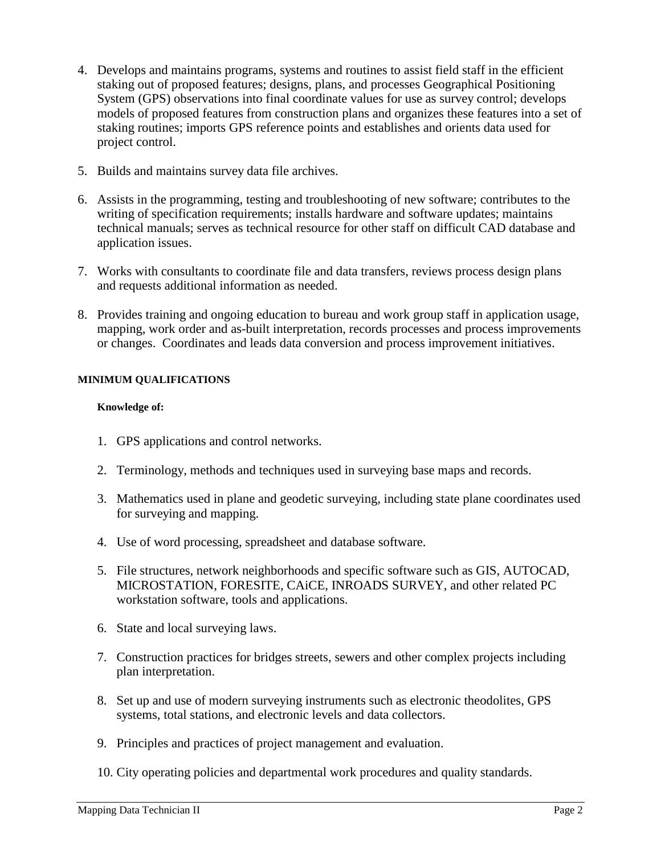- 4. Develops and maintains programs, systems and routines to assist field staff in the efficient staking out of proposed features; designs, plans, and processes Geographical Positioning System (GPS) observations into final coordinate values for use as survey control; develops models of proposed features from construction plans and organizes these features into a set of staking routines; imports GPS reference points and establishes and orients data used for project control.
- 5. Builds and maintains survey data file archives.
- 6. Assists in the programming, testing and troubleshooting of new software; contributes to the writing of specification requirements; installs hardware and software updates; maintains technical manuals; serves as technical resource for other staff on difficult CAD database and application issues.
- 7. Works with consultants to coordinate file and data transfers, reviews process design plans and requests additional information as needed.
- 8. Provides training and ongoing education to bureau and work group staff in application usage, mapping, work order and as-built interpretation, records processes and process improvements or changes. Coordinates and leads data conversion and process improvement initiatives.

# **MINIMUM QUALIFICATIONS**

## **Knowledge of:**

- 1. GPS applications and control networks.
- 2. Terminology, methods and techniques used in surveying base maps and records.
- 3. Mathematics used in plane and geodetic surveying, including state plane coordinates used for surveying and mapping.
- 4. Use of word processing, spreadsheet and database software.
- 5. File structures, network neighborhoods and specific software such as GIS, AUTOCAD, MICROSTATION, FORESITE, CAiCE, INROADS SURVEY, and other related PC workstation software, tools and applications.
- 6. State and local surveying laws.
- 7. Construction practices for bridges streets, sewers and other complex projects including plan interpretation.
- 8. Set up and use of modern surveying instruments such as electronic theodolites, GPS systems, total stations, and electronic levels and data collectors.
- 9. Principles and practices of project management and evaluation.
- 10. City operating policies and departmental work procedures and quality standards.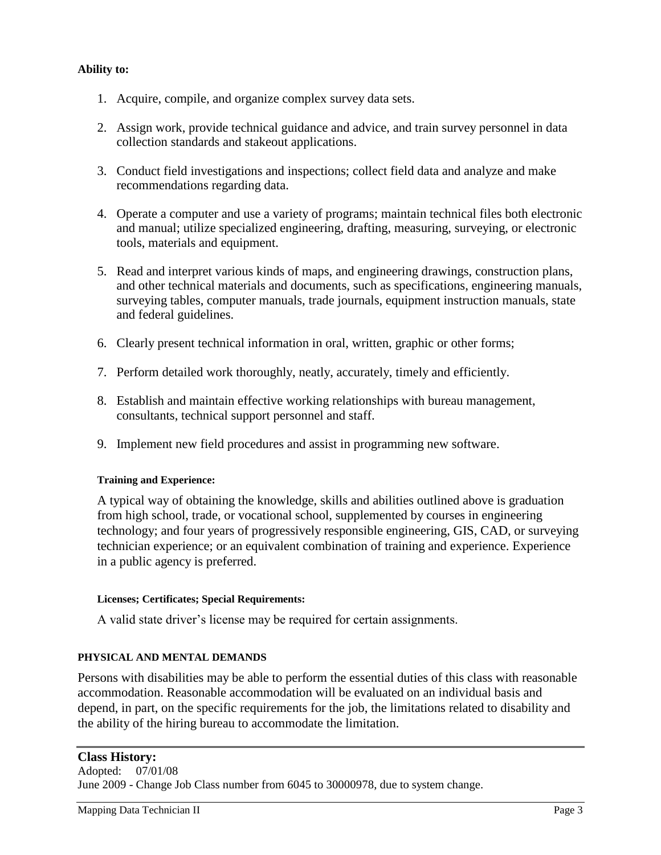## **Ability to:**

- 1. Acquire, compile, and organize complex survey data sets.
- 2. Assign work, provide technical guidance and advice, and train survey personnel in data collection standards and stakeout applications.
- 3. Conduct field investigations and inspections; collect field data and analyze and make recommendations regarding data.
- 4. Operate a computer and use a variety of programs; maintain technical files both electronic and manual; utilize specialized engineering, drafting, measuring, surveying, or electronic tools, materials and equipment.
- 5. Read and interpret various kinds of maps, and engineering drawings, construction plans, and other technical materials and documents, such as specifications, engineering manuals, surveying tables, computer manuals, trade journals, equipment instruction manuals, state and federal guidelines.
- 6. Clearly present technical information in oral, written, graphic or other forms;
- 7. Perform detailed work thoroughly, neatly, accurately, timely and efficiently.
- 8. Establish and maintain effective working relationships with bureau management, consultants, technical support personnel and staff.
- 9. Implement new field procedures and assist in programming new software.

# **Training and Experience:**

A typical way of obtaining the knowledge, skills and abilities outlined above is graduation from high school, trade, or vocational school, supplemented by courses in engineering technology; and four years of progressively responsible engineering, GIS, CAD, or surveying technician experience; or an equivalent combination of training and experience. Experience in a public agency is preferred.

### **Licenses; Certificates; Special Requirements:**

A valid state driver's license may be required for certain assignments.

# **PHYSICAL AND MENTAL DEMANDS**

Persons with disabilities may be able to perform the essential duties of this class with reasonable accommodation. Reasonable accommodation will be evaluated on an individual basis and depend, in part, on the specific requirements for the job, the limitations related to disability and the ability of the hiring bureau to accommodate the limitation.

# **Class History:**

Adopted: 07/01/08 June 2009 - Change Job Class number from 6045 to 30000978, due to system change.